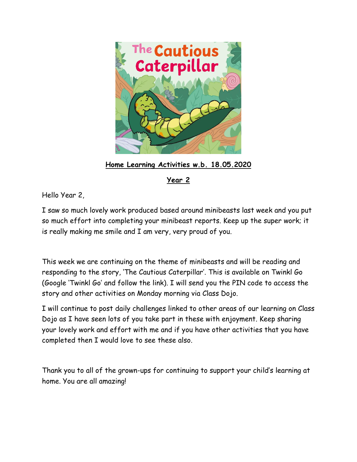

**Home Learning Activities w.b. 18.05.2020**

**Year 2** 

Hello Year 2,

I saw so much lovely work produced based around minibeasts last week and you put so much effort into completing your minibeast reports. Keep up the super work; it is really making me smile and I am very, very proud of you.

This week we are continuing on the theme of minibeasts and will be reading and responding to the story, 'The Cautious Caterpillar'. This is available on Twinkl Go (Google 'Twinkl Go' and follow the link). I will send you the PIN code to access the story and other activities on Monday morning via Class Dojo.

I will continue to post daily challenges linked to other areas of our learning on Class Dojo as I have seen lots of you take part in these with enjoyment. Keep sharing your lovely work and effort with me and if you have other activities that you have completed then I would love to see these also.

Thank you to all of the grown-ups for continuing to support your child's learning at home. You are all amazing!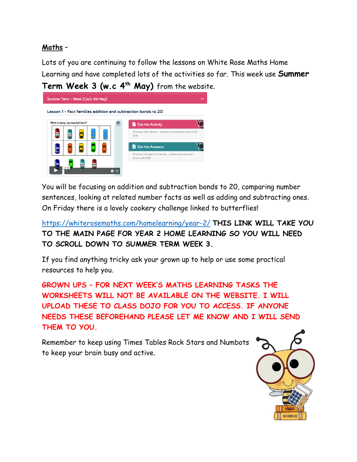# **Maths** –

Lots of you are continuing to follow the lessons on White Rose Maths Home Learning and have completed lots of the activities so far. This week use **Summer** 



You will be focusing on addition and subtraction bonds to 20, comparing number sentences, looking at related number facts as well as adding and subtracting ones. On Friday there is a lovely cookery challenge linked to butterflies!

<https://whiterosemaths.com/homelearning/year-2/> **THIS LINK WILL TAKE YOU TO THE MAIN PAGE FOR YEAR 2 HOME LEARNING SO YOU WILL NEED TO SCROLL DOWN TO SUMMER TERM WEEK 3.**

If you find anything tricky ask your grown up to help or use some practical resources to help you.

**GROWN UPS – FOR NEXT WEEK'S MATHS LEARNING TASKS THE WORKSHEETS WILL NOT BE AVAILABLE ON THE WEBSITE. I WILL UPLOAD THESE TO CLASS DOJO FOR YOU TO ACCESS. IF ANYONE NEEDS THESE BEFOREHAND PLEASE LET ME KNOW AND I WILL SEND THEM TO YOU.**

Remember to keep using Times Tables Rock Stars and Numbots to keep your brain busy and active.

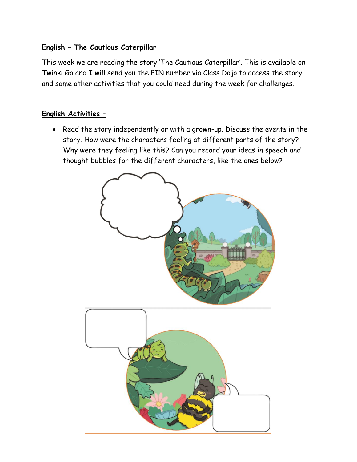## **English – The Cautious Caterpillar**

This week we are reading the story 'The Cautious Caterpillar'. This is available on Twinkl Go and I will send you the PIN number via Class Dojo to access the story and some other activities that you could need during the week for challenges.

#### **English Activities –**

 Read the story independently or with a grown-up. Discuss the events in the story. How were the characters feeling at different parts of the story? Why were they feeling like this? Can you record your ideas in speech and thought bubbles for the different characters, like the ones below?

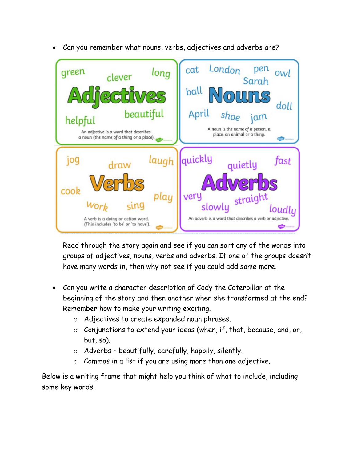

Can you remember what nouns, verbs, adjectives and adverbs are?

Read through the story again and see if you can sort any of the words into groups of adjectives, nouns, verbs and adverbs. If one of the groups doesn't have many words in, then why not see if you could add some more.

- Can you write a character description of Cody the Caterpillar at the beginning of the story and then another when she transformed at the end? Remember how to make your writing exciting.
	- o Adjectives to create expanded noun phrases.
	- o Conjunctions to extend your ideas (when, if, that, because, and, or, but, so).
	- $\circ$  Adverbs beautifully, carefully, happily, silently.
	- $\circ$  Commas in a list if you are using more than one adjective.

Below is a writing frame that might help you think of what to include, including some key words.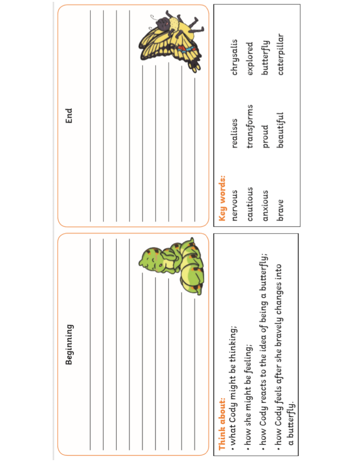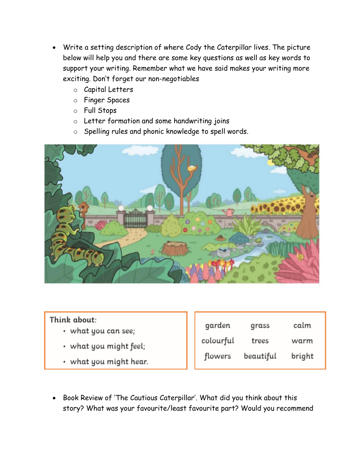- Write a setting description of where Cody the Caterpillar lives. The picture below will help you and there are some key questions as well as key words to support your writing. Remember what we have said makes your writing more exciting. Don't forget our non-negotiables
	- o Capital Letters
	- o Finger Spaces
	- o Full Stops
	- o Letter formation and some handwriting joins
	- o Spelling rules and phonic knowledge to spell words.



### Think about:

- what you can see;
- what you might feel;
- what you might hear.

| garden    | grass     | calm   |
|-----------|-----------|--------|
| colourful | trees     | warm   |
| flowers   | beautiful | bright |

• Book Review of 'The Cautious Caterpillar'. What did you think about this story? What was your favourite/least favourite part? Would you recommend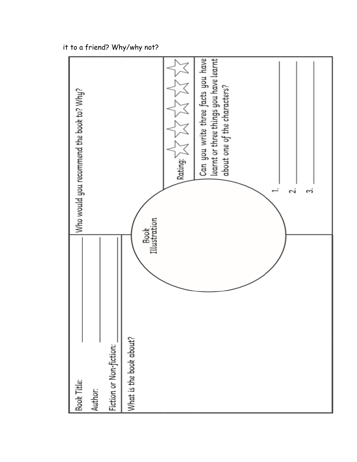it to a friend? Why/why not?

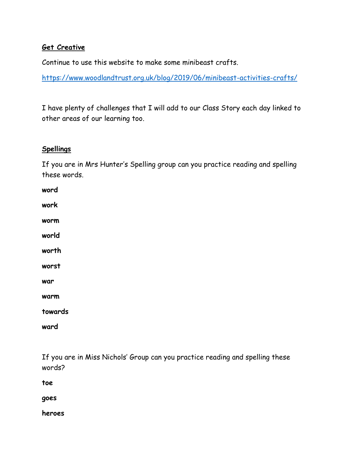### **Get Creative**

Continue to use this website to make some minibeast crafts.

<https://www.woodlandtrust.org.uk/blog/2019/06/minibeast-activities-crafts/>

I have plenty of challenges that I will add to our Class Story each day linked to other areas of our learning too.

#### **Spellings**

If you are in Mrs Hunter's Spelling group can you practice reading and spelling these words.

| word    |  |
|---------|--|
| work    |  |
| worm    |  |
| world   |  |
| worth   |  |
| worst   |  |
| war     |  |
| warm    |  |
| towards |  |
| ward    |  |

If you are in Miss Nichols' Group can you practice reading and spelling these words?

**toe**

**goes**

**heroes**